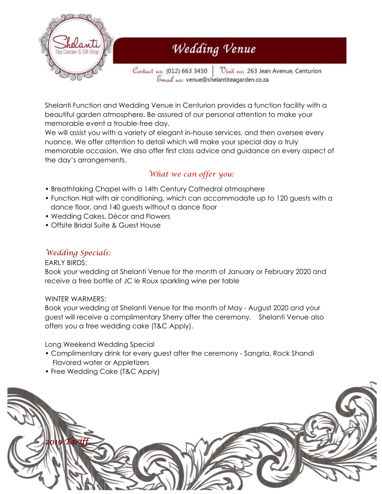

# **Wedding Venue**

Contact us: (012) 663 3450 Uisil us: 263 Jean Avenue, Centurion Email us: venue@shelantiteagarden.co.za

Shelanti Function and Wedding Venue in Centurion provides a function facility with a beautiful garden atmosphere. Be assured of our personal attention to make your memorable event a trouble-free day.

We will assist you with a variety of elegant in-house services, and then oversee every nuance. We offer attention to detail which will make your special day a truly memorable occasion. We also offer first class advice and guidance on every aspect of the day's arrangements.

## *What we can offer you:*

- Breathtaking Chapel with a 14th Century Cathedral atmosphere
- Function Hall with air conditioning, which can accommodate up to 120 guests with a dance floor, and 140 guests without a dance floor
- Wedding Cakes, Décor and Flowers
- Offsite Bridal Suite & Guest House

## *Wedding Specials:*

### EARLY BIRDS:

Book your wedding at Shelanti Venue for the month of January or February 2020 and receive a free bottle of JC le Roux sparkling wine per table

### WINTER WARMERS:

Book your wedding at Shelanti Venue for the month of May - August 2020 and your guest will receive a complimentary Sherry after the ceremony. Shelanti Venue also offers you a free wedding cake (T&C Apply).

Long Weekend Wedding Special

- Complimentary drink for every guest after the ceremony Sangria, Rock Shandi Flavored water or Appletizers
- Free Wedding Cake (T&C Apply)

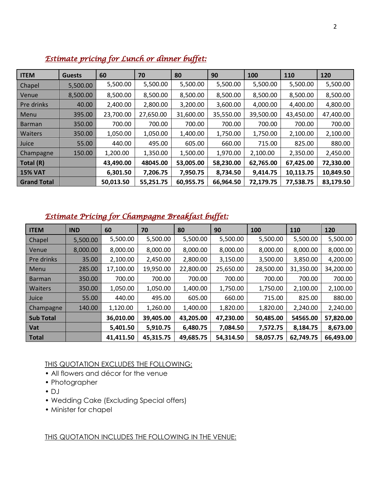| <b>ITEM</b>        | <b>Guests</b> | 60        | 70        | 80        | 90        | 100       | 110       | 120       |
|--------------------|---------------|-----------|-----------|-----------|-----------|-----------|-----------|-----------|
| Chapel             | 5,500.00      | 5,500.00  | 5,500.00  | 5,500.00  | 5,500.00  | 5,500.00  | 5,500.00  | 5,500.00  |
| Venue              | 8,500.00      | 8,500.00  | 8,500.00  | 8,500.00  | 8,500.00  | 8,500.00  | 8,500.00  | 8,500.00  |
| Pre drinks         | 40.00         | 2,400.00  | 2,800.00  | 3,200.00  | 3,600.00  | 4,000.00  | 4,400.00  | 4,800.00  |
| Menu               | 395.00        | 23,700.00 | 27,650.00 | 31,600.00 | 35,550.00 | 39,500.00 | 43,450.00 | 47,400.00 |
| <b>Barman</b>      | 350.00        | 700.00    | 700.00    | 700.00    | 700.00    | 700.00    | 700.00    | 700.00    |
| Waiters            | 350.00        | 1,050.00  | 1,050.00  | 1,400.00  | 1,750.00  | 1,750.00  | 2,100.00  | 2,100.00  |
| Juice              | 55.00         | 440.00    | 495.00    | 605.00    | 660.00    | 715.00    | 825.00    | 880.00    |
| Champagne          | 150.00        | 1,200.00  | 1,350.00  | 1,500.00  | 1,970.00  | 2,100.00  | 2,350.00  | 2,450.00  |
| Total (R)          |               | 43,490.00 | 48045.00  | 53,005.00 | 58,230.00 | 62,765.00 | 67,425.00 | 72,330.00 |
| <b>15% VAT</b>     |               | 6,301.50  | 7,206.75  | 7,950.75  | 8,734.50  | 9,414.75  | 10,113.75 | 10,849.50 |
| <b>Grand Total</b> |               | 50,013.50 | 55,251.75 | 60,955.75 | 66,964.50 | 72,179.75 | 77,538.75 | 83,179.50 |

## *Estimate pricing for Lunch or dinner buffet:*

## *Estimate Pricing for Champagne Breakfast buffet:*

| <b>ITEM</b>      | <b>IND</b> | 60        | 70        | 80        | 90        | 100       | 110       | 120       |
|------------------|------------|-----------|-----------|-----------|-----------|-----------|-----------|-----------|
| Chapel           | 5,500.00   | 5,500.00  | 5,500.00  | 5,500.00  | 5,500.00  | 5,500.00  | 5,500.00  | 5,500.00  |
| Venue            | 8,000.00   | 8,000.00  | 8,000.00  | 8,000.00  | 8,000.00  | 8,000.00  | 8,000.00  | 8,000.00  |
| Pre drinks       | 35.00      | 2,100.00  | 2,450.00  | 2,800.00  | 3,150.00  | 3,500.00  | 3,850.00  | 4,200.00  |
| Menu             | 285.00     | 17,100.00 | 19,950.00 | 22,800.00 | 25,650.00 | 28,500.00 | 31,350.00 | 34,200.00 |
| <b>Barman</b>    | 350.00     | 700.00    | 700.00    | 700.00    | 700.00    | 700.00    | 700.00    | 700.00    |
| <b>Waiters</b>   | 350.00     | 1,050.00  | 1,050.00  | 1,400.00  | 1,750.00  | 1,750.00  | 2,100.00  | 2,100.00  |
| Juice            | 55.00      | 440.00    | 495.00    | 605.00    | 660.00    | 715.00    | 825.00    | 880.00    |
| Champagne        | 140.00     | 1,120.00  | 1,260.00  | 1,400.00  | 1,820.00  | 1,820.00  | 2,240.00  | 2,240.00  |
| <b>Sub Total</b> |            | 36,010.00 | 39,405.00 | 43,205.00 | 47,230.00 | 50,485.00 | 54565.00  | 57,820.00 |
| <b>Vat</b>       |            | 5,401.50  | 5,910.75  | 6,480.75  | 7,084.50  | 7,572.75  | 8,184.75  | 8,673.00  |
| <b>Total</b>     |            | 41,411.50 | 45,315.75 | 49,685.75 | 54,314.50 | 58,057.75 | 62,749.75 | 66,493.00 |

### THIS QUOTATION EXCLUDES THE FOLLOWING:

- All flowers and décor for the venue
- Photographer
- DJ
- Wedding Cake (Excluding Special offers)
- Minister for chapel

THIS QUOTATION INCLUDES THE FOLLOWING IN THE VENUE: